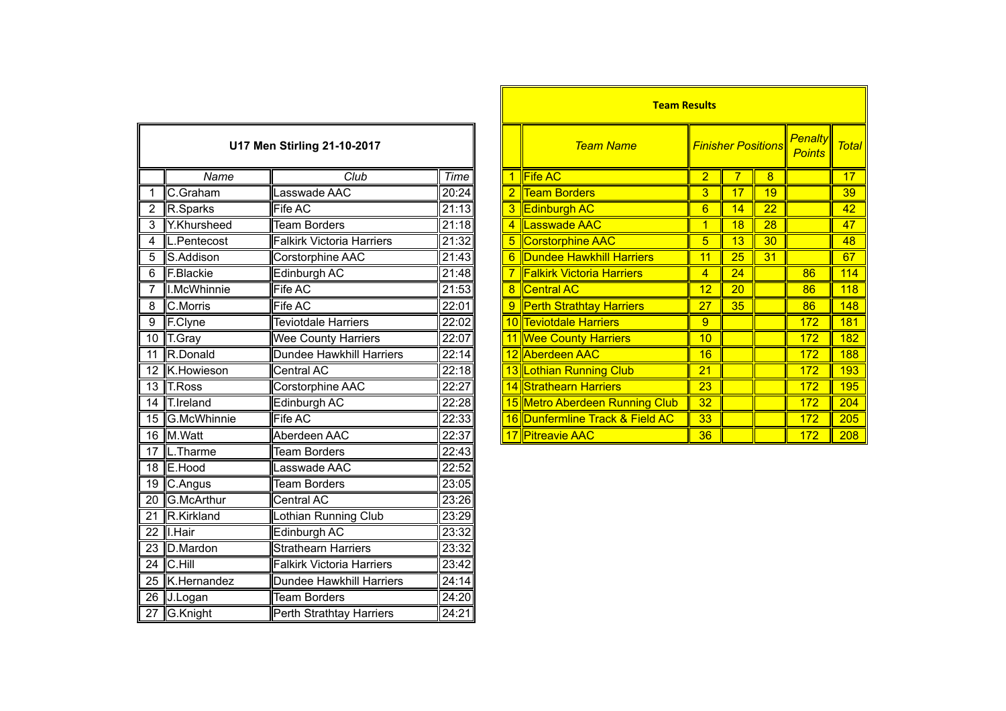| U17 Men Stirling 21-10-2017 |               |                                  |       |  |  |  |
|-----------------------------|---------------|----------------------------------|-------|--|--|--|
|                             | Name          | Club                             | Time  |  |  |  |
| 1                           | C.Graham      | Lasswade AAC                     | 20:24 |  |  |  |
| $\overline{2}$              | R.Sparks      | Fife AC                          | 21:13 |  |  |  |
| $\overline{3}$              | Y.Khursheed   | <b>Team Borders</b>              | 21:18 |  |  |  |
| 4                           | L.Pentecost   | <b>Falkirk Victoria Harriers</b> | 21:32 |  |  |  |
| 5                           | S.Addison     | Corstorphine AAC                 | 21:43 |  |  |  |
| $\overline{6}$              | F.Blackie     | Edinburgh AC                     | 21:48 |  |  |  |
| 7                           | I.McWhinnie   | <b>Fife AC</b>                   | 21:53 |  |  |  |
| 8                           | C.Morris      | <b>Fife AC</b>                   | 22:01 |  |  |  |
| 9                           | F.Clyne       | <b>Teviotdale Harriers</b>       | 22:02 |  |  |  |
| $\overline{10}$             | T.Gray        | <b>Wee County Harriers</b>       | 22:07 |  |  |  |
| $\overline{11}$             | R.Donald      | <b>Dundee Hawkhill Harriers</b>  | 22:14 |  |  |  |
| $\overline{12}$             | K.Howieson    | Central AC                       | 22:18 |  |  |  |
| $\overline{13}$             | <b>T.Ross</b> | <b>Corstorphine AAC</b>          | 22:27 |  |  |  |
| 14                          | T.Ireland     | <b>Edinburgh AC</b>              | 22:28 |  |  |  |
| 15                          | G.McWhinnie   | Fife AC                          | 22:33 |  |  |  |
| 16                          | M.Watt        | Aberdeen AAC                     | 22:37 |  |  |  |
| $\overline{17}$             | L.Tharme      | <b>Team Borders</b>              | 22:43 |  |  |  |
| 18                          | E.Hood        | Lasswade AAC                     | 22:52 |  |  |  |
| $\overline{19}$             | C.Angus       | <b>Team Borders</b>              | 23:05 |  |  |  |
| 20                          | G.McArthur    | Central AC                       | 23:26 |  |  |  |
| $\overline{21}$             | R.Kirkland    | Lothian Running Club             | 23:29 |  |  |  |
| $\overline{22}$             | I.Hair        | Edinburgh AC                     | 23:32 |  |  |  |
| $\overline{23}$             | D.Mardon      | <b>Strathearn Harriers</b>       | 23:32 |  |  |  |
| $\overline{24}$             | C.Hill        | <b>Falkirk Victoria Harriers</b> | 23:42 |  |  |  |
| $\overline{25}$             | K.Hernandez   | <b>Dundee Hawkhill Harriers</b>  | 24:14 |  |  |  |
| $\overline{26}$             | J.Logan       | <b>Team Borders</b>              | 24:20 |  |  |  |
| 27                          | G.Knight      | Perth Strathtay Harriers         | 24:21 |  |  |  |

|                 |                  |                                  |                     | <b>Team Results</b> |                                  |                |                           |    |                                 |              |
|-----------------|------------------|----------------------------------|---------------------|---------------------|----------------------------------|----------------|---------------------------|----|---------------------------------|--------------|
|                 |                  | U17 Men Stirling 21-10-2017      |                     |                     | <b>Team Name</b>                 |                | <b>Finisher Positions</b> |    | <b>Penalty</b><br><b>Points</b> | <b>Total</b> |
|                 | Name             | Club                             | Time                |                     | <b>Fife AC</b>                   | $\overline{2}$ |                           | 8  |                                 | 17           |
|                 | C.Graham         | Lasswade AAC                     | 20:24               |                     | <b>Team Borders</b>              | 3              | 17                        | 19 |                                 | 39           |
|                 | R.Sparks         | Fife AC                          | 21:13               |                     | <b>Edinburgh AC</b>              | 6              | 14                        | 22 |                                 | 42           |
| 3               | Y.Khursheed      | Team Borders                     | 21:18               |                     | Lasswade AAC                     |                | 18                        | 28 |                                 | 47           |
| 4               | L.Pentecost      | <b>Falkirk Victoria Harriers</b> | 21:32               |                     | <b>Corstorphine AAC</b>          | 5              | 13                        | 30 |                                 | 48           |
| 5               | <b>S.Addison</b> | Corstorphine AAC                 | 21:43               |                     | Dundee Hawkhill Harriers         | 11             | 25                        | 31 |                                 | 67           |
| $\overline{6}$  | F.Blackie        | Edinburgh AC                     | 21:48               |                     | <b>Falkirk Victoria Harriers</b> | 4              | 24                        |    | 86                              | 114          |
|                 | I.McWhinnie      | Fife AC                          | 21:53               |                     | 8 Central AC                     | 12             | 20                        |    | 86                              | 118          |
| 8               | C.Morris         | Fife AC                          | $\overline{2}$ 2:01 |                     | 9 Perth Strathtay Harriers       | 27             | 35                        |    | 86                              | 148          |
| 9               | F.Clyne          | Teviotdale Harriers              | 22:02               |                     | 10 Teviotdale Harriers           | 9              |                           |    | 172                             | 181          |
| 10 T.Gray       |                  | <b>Wee County Harriers</b>       | 22:07               |                     | 11 Wee County Harriers           | 10             |                           |    | 172                             | 182          |
| $\overline{11}$ | R.Donald         | Dundee Hawkhill Harriers         | 22:14               |                     | 12 Aberdeen AAC                  | 16             |                           |    | 172                             | 188          |
|                 | 12 K.Howieson    | Central AC                       | $\overline{2}$ 2:18 |                     | 13 Lothian Running Club          | 21             |                           |    | 172                             | 193          |
| 13 T.Ross       |                  | Corstorphine AAC                 | 22:27               |                     | 14 Strathearn Harriers           | 23             |                           |    | 172                             | 195          |
|                 | 14 T.Ireland     | Edinburgh AC                     | 22:28               |                     | 15 Metro Aberdeen Running Club   | 32             |                           |    | 172                             | 204          |
|                 | 15 G.McWhinnie   | Fife AC                          | 22:33               |                     | 16 Dunfermline Track & Field AC  | 33             |                           |    | 172                             | 205          |
|                 | 16 M.Watt        | Aberdeen AAC                     | 22:37               |                     | 17 Pitreavie AAC                 | 36             |                           |    | 172                             | 208          |